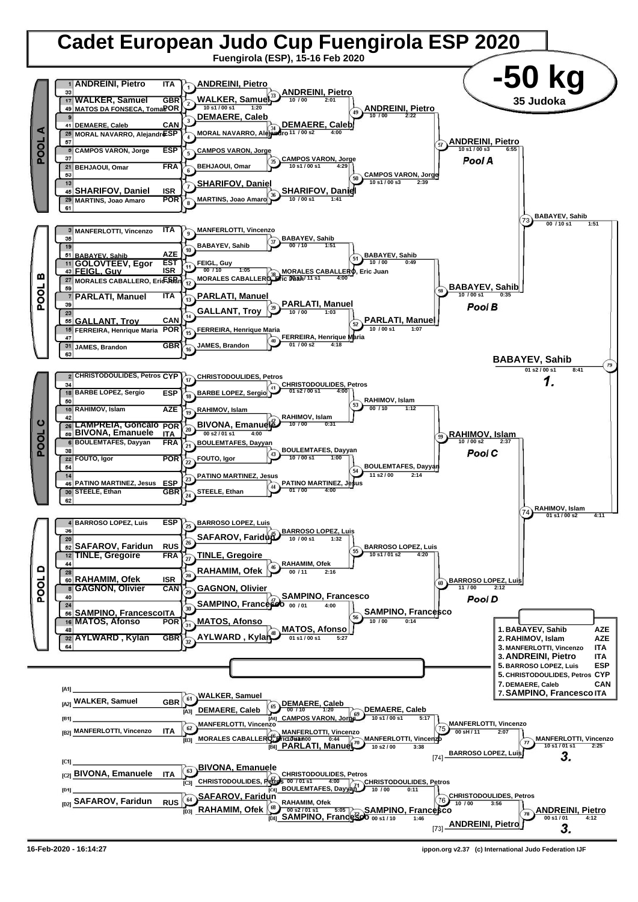

**<sup>16-</sup>Feb-2020 - 16:14:27 ippon.org v2.37 (c) International Judo Federation IJF**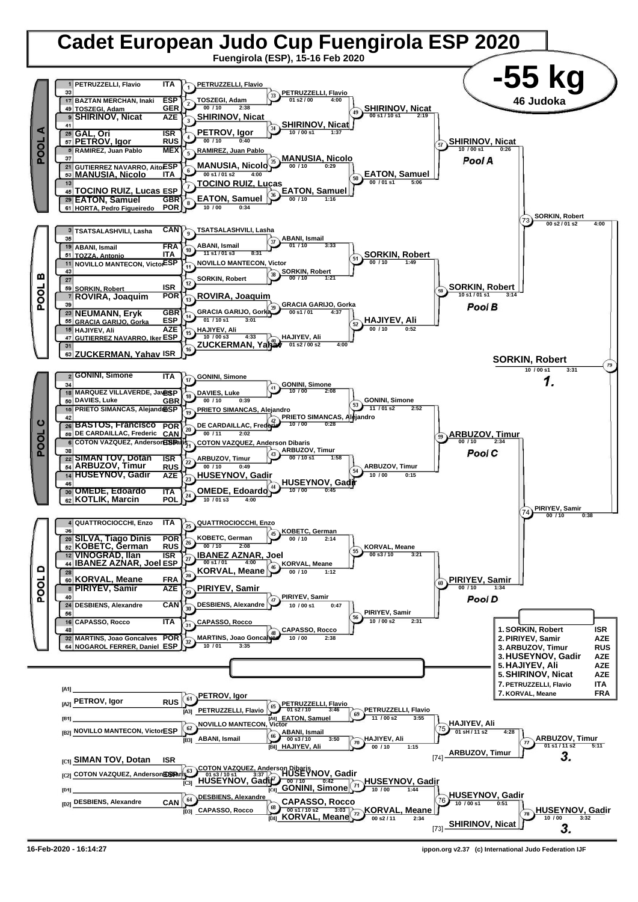

**<sup>16-</sup>Feb-2020 - 16:14:27 ippon.org v2.37 (c) International Judo Federation IJF**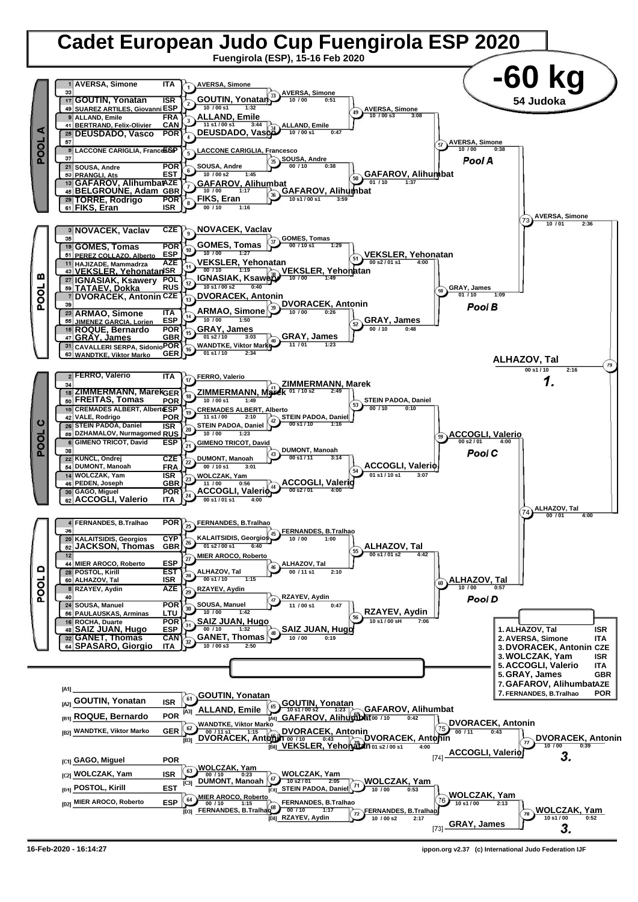

**<sup>16-</sup>Feb-2020 - 16:14:27 ippon.org v2.37 (c) International Judo Federation IJF**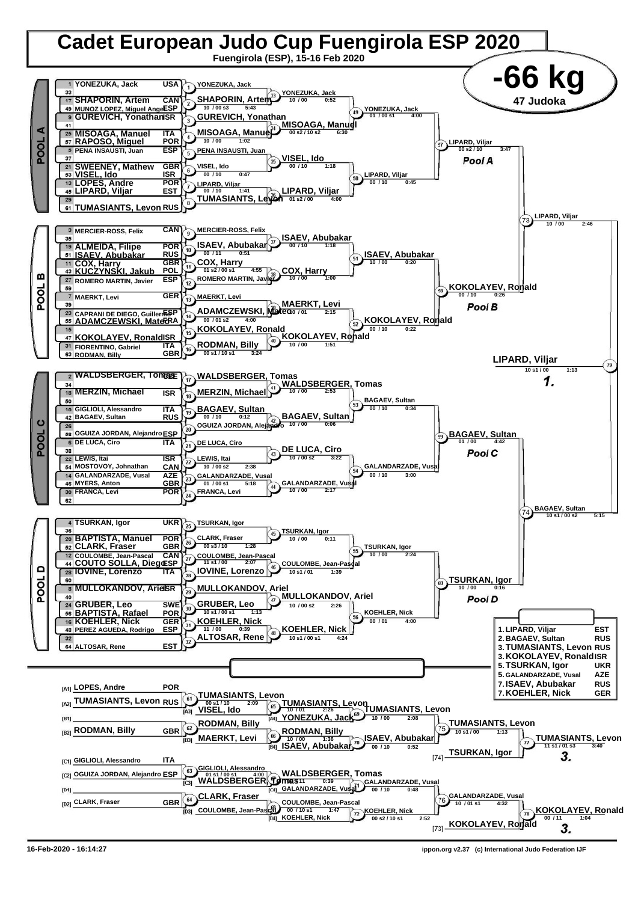

**<sup>16-</sup>Feb-2020 - 16:14:27 ippon.org v2.37 (c) International Judo Federation IJF**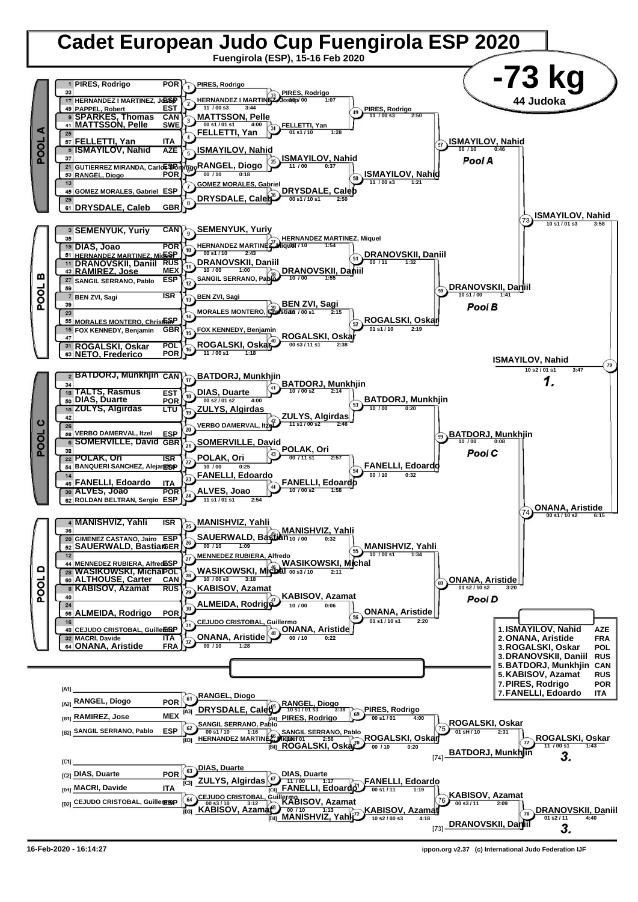

**<sup>16-</sup>Feb-2020 - 16:14:27 ippon.org v2.37 (c) International Judo Federation IJF**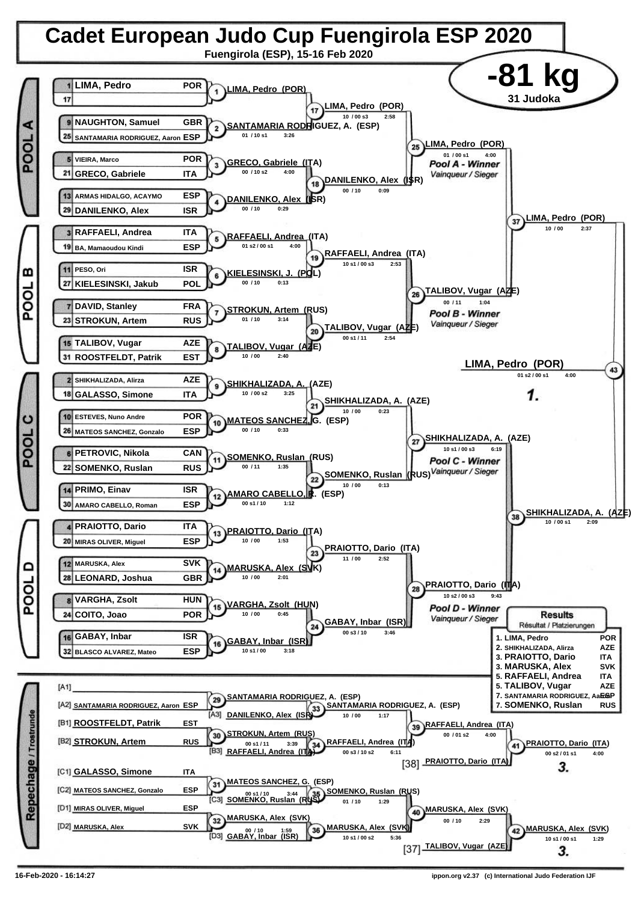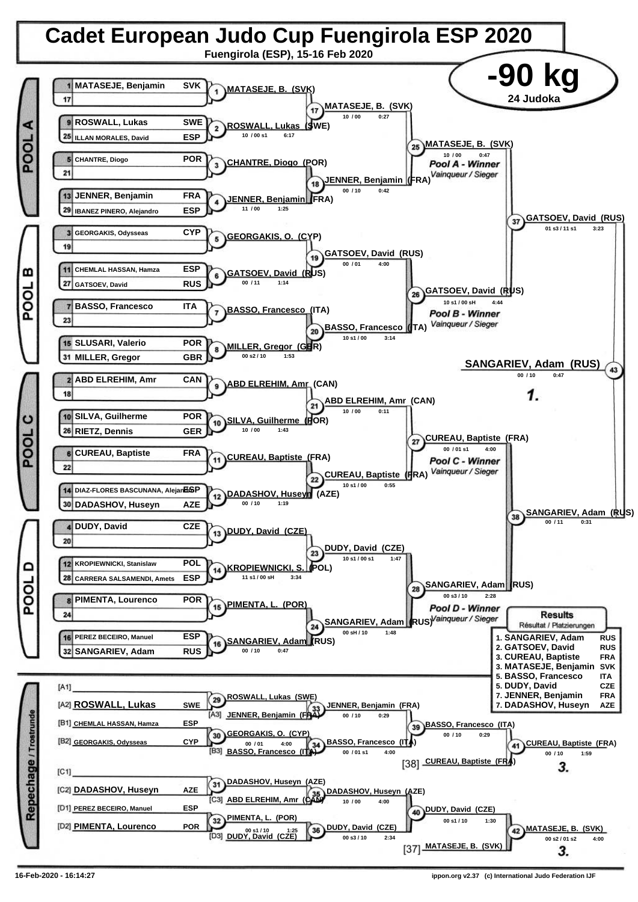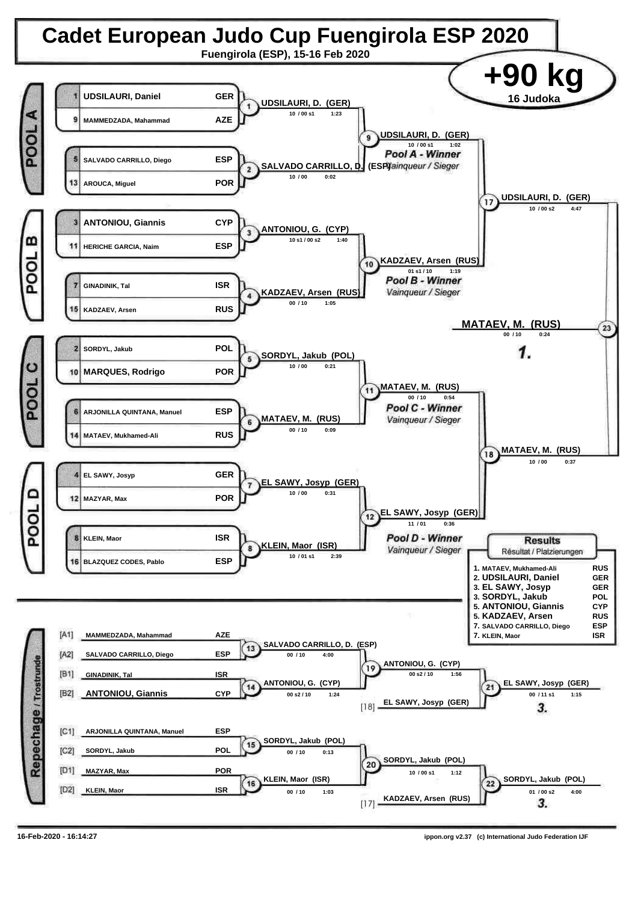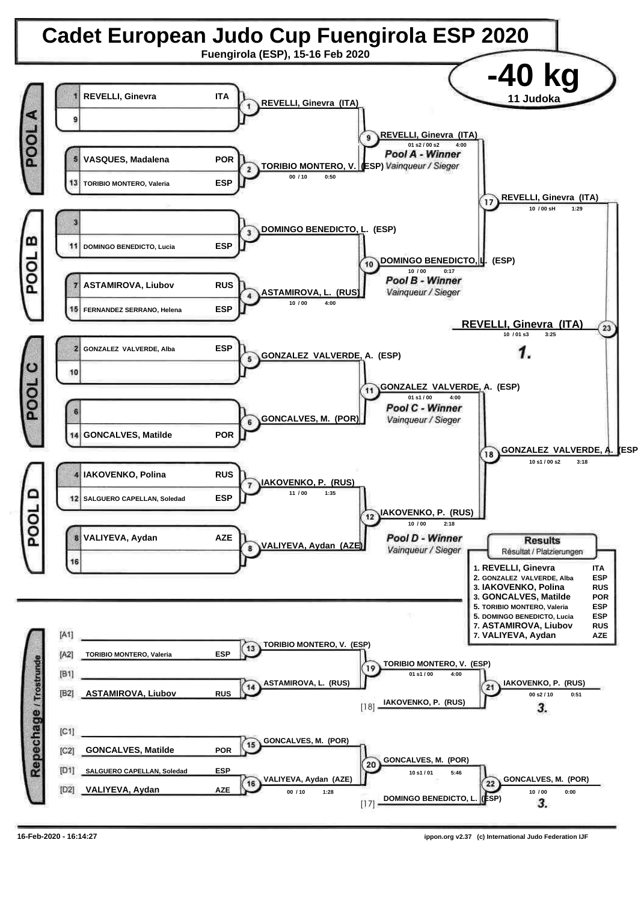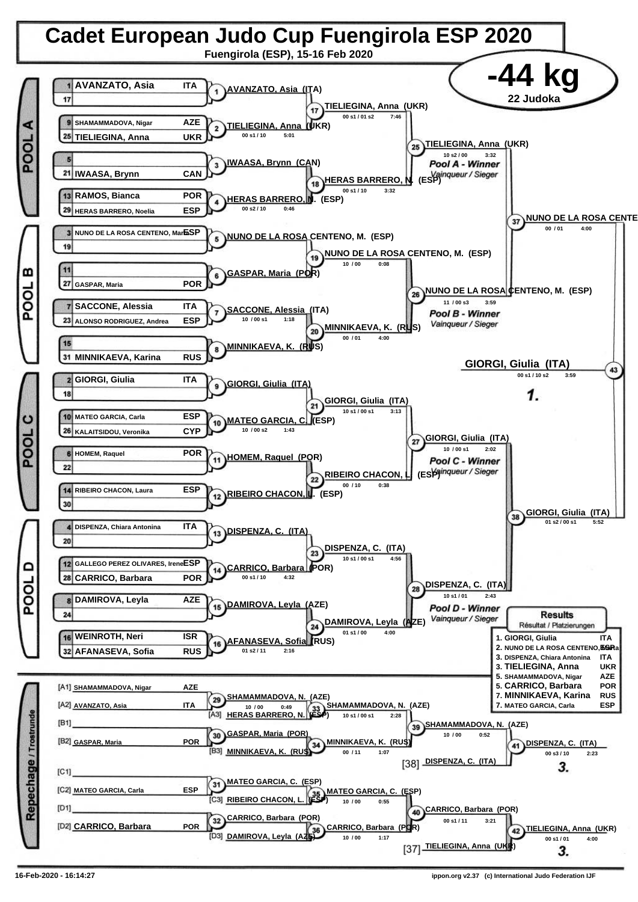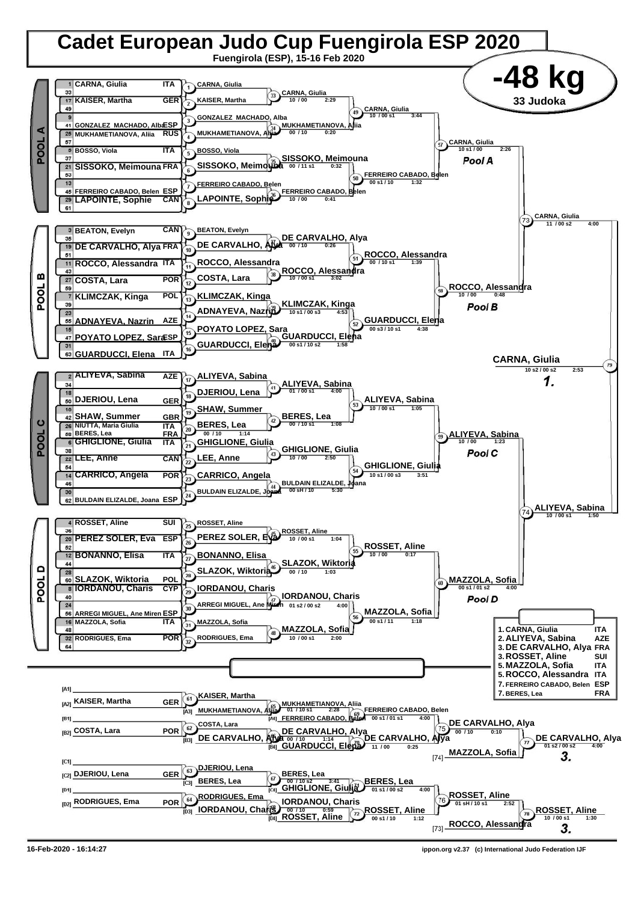

**<sup>16-</sup>Feb-2020 - 16:14:27 ippon.org v2.37 (c) International Judo Federation IJF**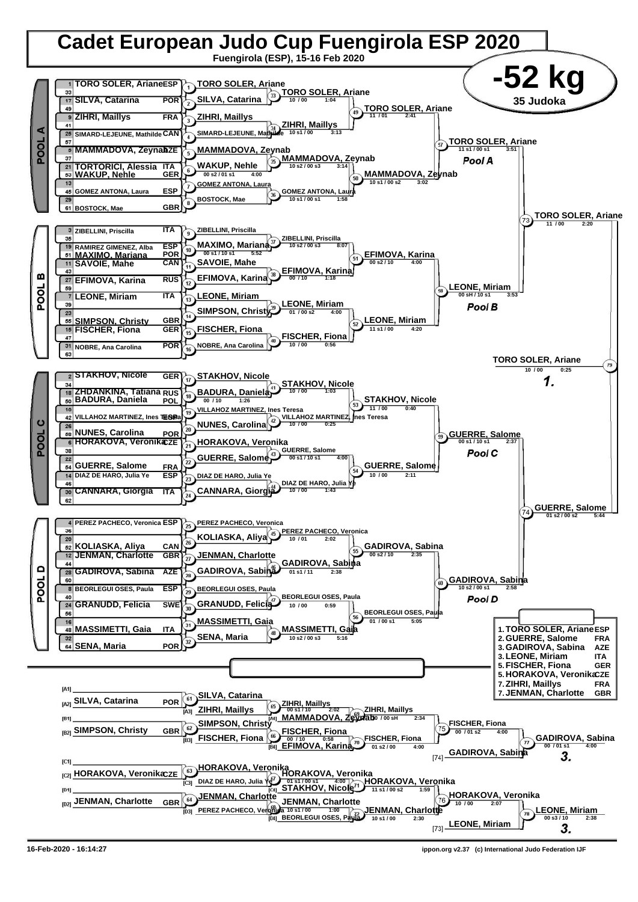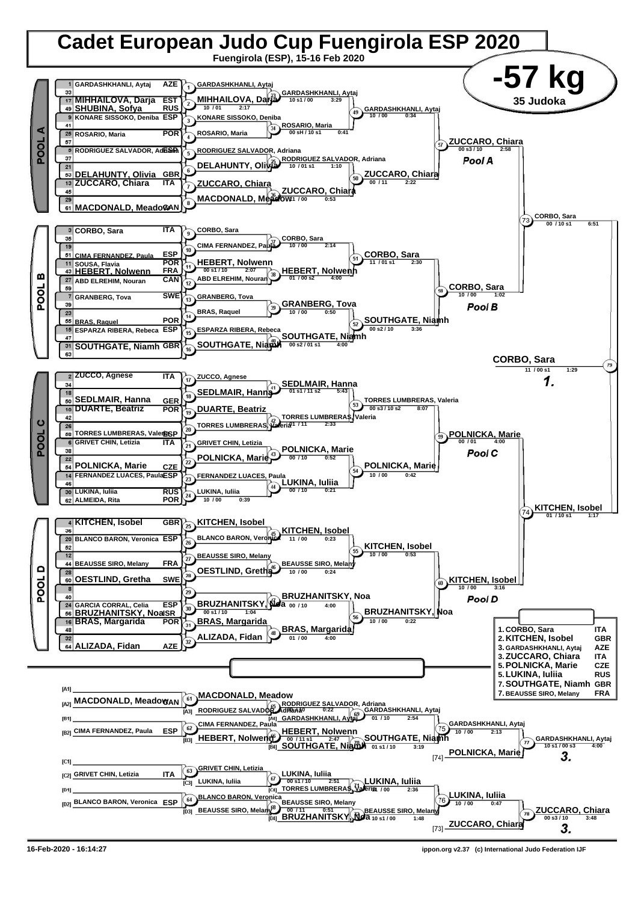

**16-Feb-2020 - 16:14:27 ippon.org v2.37 (c) International Judo Federation IJF**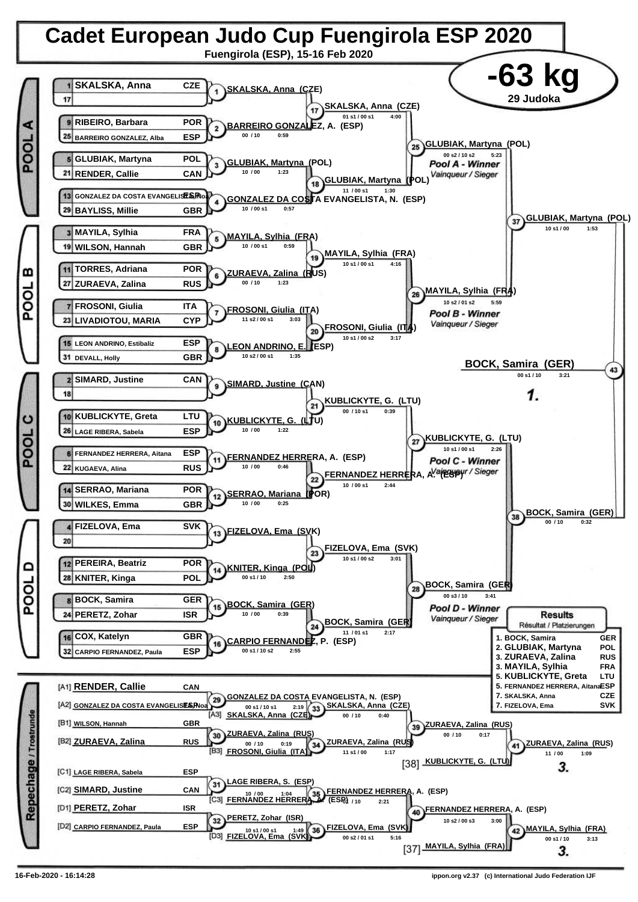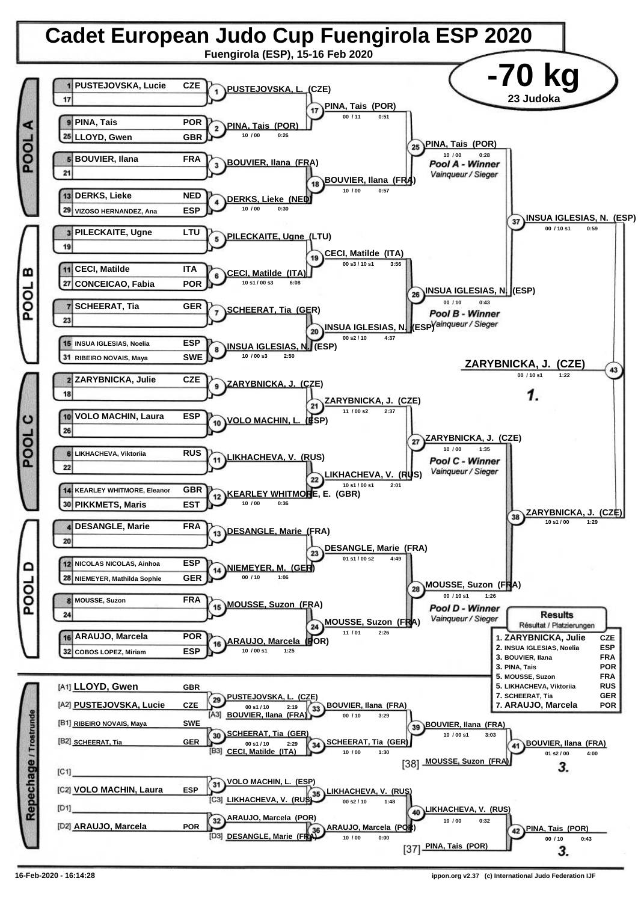